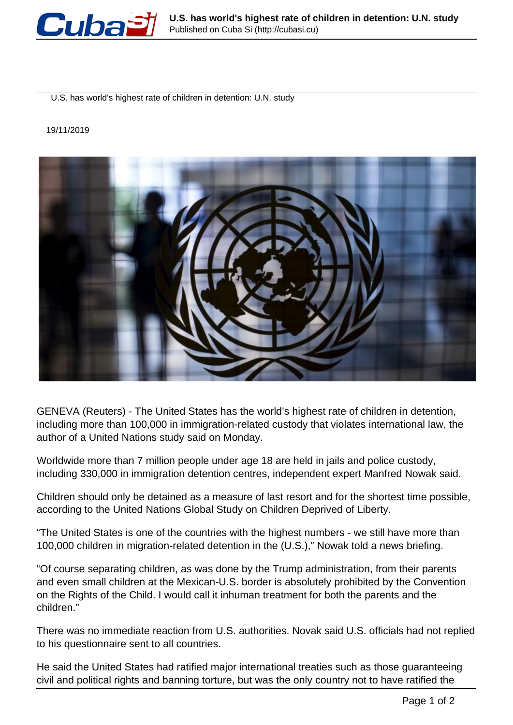

U.S. has world's highest rate of children in detention: U.N. study

## 19/11/2019



GENEVA (Reuters) - The United States has the world's highest rate of children in detention, including more than 100,000 in immigration-related custody that violates international law, the author of a United Nations study said on Monday.

Worldwide more than 7 million people under age 18 are held in jails and police custody, including 330,000 in immigration detention centres, independent expert Manfred Nowak said.

Children should only be detained as a measure of last resort and for the shortest time possible, according to the United Nations Global Study on Children Deprived of Liberty.

"The United States is one of the countries with the highest numbers - we still have more than 100,000 children in migration-related detention in the (U.S.)," Nowak told a news briefing.

"Of course separating children, as was done by the Trump administration, from their parents and even small children at the Mexican-U.S. border is absolutely prohibited by the Convention on the Rights of the Child. I would call it inhuman treatment for both the parents and the children."

There was no immediate reaction from U.S. authorities. Novak said U.S. officials had not replied to his questionnaire sent to all countries.

He said the United States had ratified major international treaties such as those guaranteeing civil and political rights and banning torture, but was the only country not to have ratified the